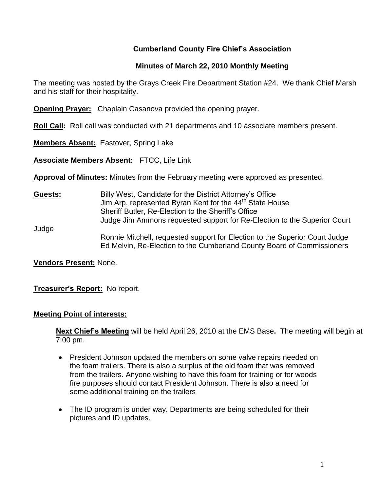### **Cumberland County Fire Chief's Association**

#### **Minutes of March 22, 2010 Monthly Meeting**

The meeting was hosted by the Grays Creek Fire Department Station #24. We thank Chief Marsh and his staff for their hospitality.

**Opening Prayer:** Chaplain Casanova provided the opening prayer.

**Roll Call:** Roll call was conducted with 21 departments and 10 associate members present.

**Members Absent:** Eastover, Spring Lake

**Associate Members Absent:** FTCC, Life Link

**Approval of Minutes:** Minutes from the February meeting were approved as presented.

**Guests:** Billy West, Candidate for the District Attorney's Office Jim Arp, represented Byran Kent for the 44<sup>th</sup> State House Sheriff Butler, Re-Election to the Sheriff's Office Judge Jim Ammons requested support for Re-Election to the Superior Court Judge Ronnie Mitchell, requested support for Election to the Superior Court Judge Ed Melvin, Re-Election to the Cumberland County Board of Commissioners

**Vendors Present:** None.

**Treasurer's Report:** No report.

#### **Meeting Point of interests:**

**Next Chief's Meeting** will be held April 26, 2010 at the EMS Base**.** The meeting will begin at 7:00 pm.

- President Johnson updated the members on some valve repairs needed on the foam trailers. There is also a surplus of the old foam that was removed from the trailers. Anyone wishing to have this foam for training or for woods fire purposes should contact President Johnson. There is also a need for some additional training on the trailers
- The ID program is under way. Departments are being scheduled for their pictures and ID updates.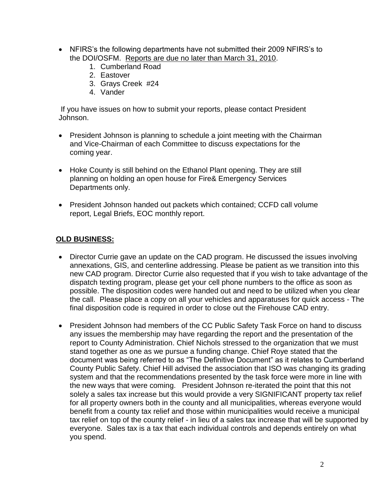- NFIRS's the following departments have not submitted their 2009 NFIRS's to the DOI/OSFM. Reports are due no later than March 31, 2010.
	- 1. Cumberland Road
	- 2. Eastover
	- 3. Grays Creek #24
	- 4. Vander

If you have issues on how to submit your reports, please contact President Johnson.

- President Johnson is planning to schedule a joint meeting with the Chairman and Vice-Chairman of each Committee to discuss expectations for the coming year.
- Hoke County is still behind on the Ethanol Plant opening. They are still planning on holding an open house for Fire& Emergency Services Departments only.
- President Johnson handed out packets which contained; CCFD call volume report, Legal Briefs, EOC monthly report.

### **OLD BUSINESS:**

- Director Currie gave an update on the CAD program. He discussed the issues involving annexations, GIS, and centerline addressing. Please be patient as we transition into this new CAD program. Director Currie also requested that if you wish to take advantage of the dispatch texting program, please get your cell phone numbers to the office as soon as possible. The disposition codes were handed out and need to be utilized when you clear the call. Please place a copy on all your vehicles and apparatuses for quick access - The final disposition code is required in order to close out the Firehouse CAD entry.
- President Johnson had members of the CC Public Safety Task Force on hand to discuss any issues the membership may have regarding the report and the presentation of the report to County Administration. Chief Nichols stressed to the organization that we must stand together as one as we pursue a funding change. Chief Roye stated that the document was being referred to as "The Definitive Document" as it relates to Cumberland County Public Safety. Chief Hill advised the association that ISO was changing its grading system and that the recommendations presented by the task force were more in line with the new ways that were coming. President Johnson re-iterated the point that this not solely a sales tax increase but this would provide a very SIGNIFICANT property tax relief for all property owners both in the county and all municipalities, whereas everyone would benefit from a county tax relief and those within municipalities would receive a municipal tax relief on top of the county relief - in lieu of a sales tax increase that will be supported by everyone. Sales tax is a tax that each individual controls and depends entirely on what you spend.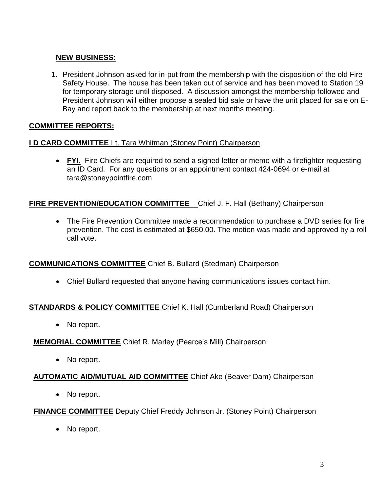# **NEW BUSINESS:**

1. President Johnson asked for in-put from the membership with the disposition of the old Fire Safety House. The house has been taken out of service and has been moved to Station 19 for temporary storage until disposed. A discussion amongst the membership followed and President Johnson will either propose a sealed bid sale or have the unit placed for sale on E-Bay and report back to the membership at next months meeting.

# **COMMITTEE REPORTS:**

### **I D CARD COMMITTEE** Lt. Tara Whitman (Stoney Point) Chairperson

• FYI. Fire Chiefs are required to send a signed letter or memo with a firefighter requesting an ID Card. For any questions or an appointment contact 424-0694 or e-mail at [tara@stoneypointfire.com](mailto:tara@stoneypointfire.com)

#### **FIRE PREVENTION/EDUCATION COMMITTEE** Chief J. F. Hall (Bethany) Chairperson

 The Fire Prevention Committee made a recommendation to purchase a DVD series for fire prevention. The cost is estimated at \$650.00. The motion was made and approved by a roll call vote.

### **COMMUNICATIONS COMMITTEE** Chief B. Bullard (Stedman) Chairperson

Chief Bullard requested that anyone having communications issues contact him.

### **STANDARDS & POLICY COMMITTEE** Chief K. Hall (Cumberland Road) Chairperson

• No report.

### **MEMORIAL COMMITTEE** Chief R. Marley (Pearce's Mill) Chairperson

• No report.

### **AUTOMATIC AID/MUTUAL AID COMMITTEE** Chief Ake (Beaver Dam) Chairperson

• No report.

### **FINANCE COMMITTEE** Deputy Chief Freddy Johnson Jr. (Stoney Point) Chairperson

• No report.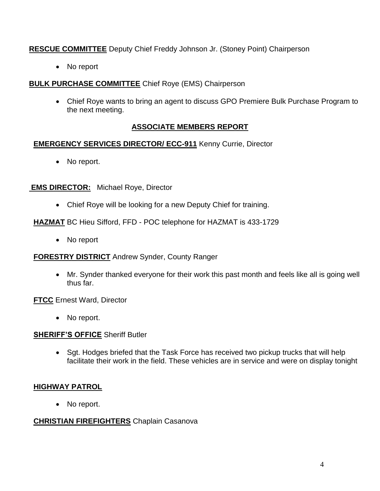## **RESCUE COMMITTEE** Deputy Chief Freddy Johnson Jr. (Stoney Point) Chairperson

• No report

### **BULK PURCHASE COMMITTEE** Chief Roye (EMS) Chairperson

 Chief Roye wants to bring an agent to discuss GPO Premiere Bulk Purchase Program to the next meeting.

## **ASSOCIATE MEMBERS REPORT**

### **EMERGENCY SERVICES DIRECTOR/ ECC-911** Kenny Currie, Director

• No report.

### **EMS DIRECTOR:** Michael Roye, Director

Chief Roye will be looking for a new Deputy Chief for training.

### **HAZMAT** BC Hieu Sifford, FFD - POC telephone for HAZMAT is 433-1729

• No report

### **FORESTRY DISTRICT** Andrew Synder, County Ranger

 Mr. Synder thanked everyone for their work this past month and feels like all is going well thus far.

**FTCC** Ernest Ward, Director

• No report.

# **SHERIFF'S OFFICE** Sheriff Butler

• Sgt. Hodges briefed that the Task Force has received two pickup trucks that will help facilitate their work in the field. These vehicles are in service and were on display tonight

# **HIGHWAY PATROL**

• No report.

# **CHRISTIAN FIREFIGHTERS** Chaplain Casanova